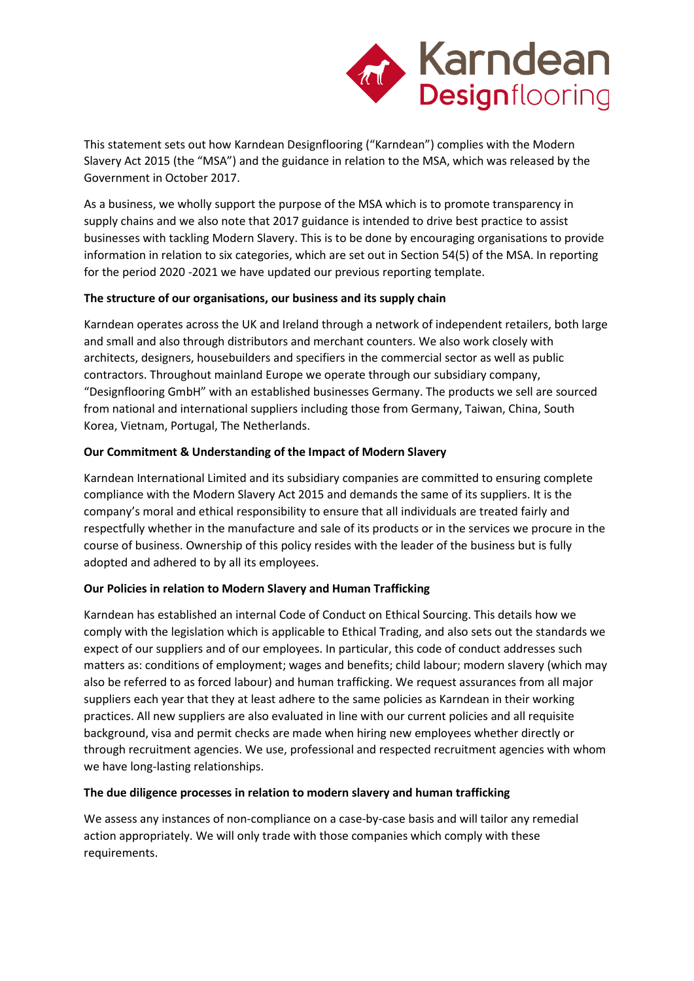

This statement sets out how Karndean Designflooring ("Karndean") complies with the Modern Slavery Act 2015 (the "MSA") and the guidance in relation to the MSA, which was released by the Government in October 2017.

As a business, we wholly support the purpose of the MSA which is to promote transparency in supply chains and we also note that 2017 guidance is intended to drive best practice to assist businesses with tackling Modern Slavery. This is to be done by encouraging organisations to provide information in relation to six categories, which are set out in Section 54(5) of the MSA. In reporting for the period 2020 -2021 we have updated our previous reporting template.

## **The structure of our organisations, our business and its supply chain**

Karndean operates across the UK and Ireland through a network of independent retailers, both large and small and also through distributors and merchant counters. We also work closely with architects, designers, housebuilders and specifiers in the commercial sector as well as public contractors. Throughout mainland Europe we operate through our subsidiary company, "Designflooring GmbH" with an established businesses Germany. The products we sell are sourced from national and international suppliers including those from Germany, Taiwan, China, South Korea, Vietnam, Portugal, The Netherlands.

## **Our Commitment & Understanding of the Impact of Modern Slavery**

Karndean International Limited and its subsidiary companies are committed to ensuring complete compliance with the Modern Slavery Act 2015 and demands the same of its suppliers. It is the company's moral and ethical responsibility to ensure that all individuals are treated fairly and respectfully whether in the manufacture and sale of its products or in the services we procure in the course of business. Ownership of this policy resides with the leader of the business but is fully adopted and adhered to by all its employees.

## **Our Policies in relation to Modern Slavery and Human Trafficking**

Karndean has established an internal Code of Conduct on Ethical Sourcing. This details how we comply with the legislation which is applicable to Ethical Trading, and also sets out the standards we expect of our suppliers and of our employees. In particular, this code of conduct addresses such matters as: conditions of employment; wages and benefits; child labour; modern slavery (which may also be referred to as forced labour) and human trafficking. We request assurances from all major suppliers each year that they at least adhere to the same policies as Karndean in their working practices. All new suppliers are also evaluated in line with our current policies and all requisite background, visa and permit checks are made when hiring new employees whether directly or through recruitment agencies. We use, professional and respected recruitment agencies with whom we have long-lasting relationships.

#### **The due diligence processes in relation to modern slavery and human trafficking**

We assess any instances of non-compliance on a case-by-case basis and will tailor any remedial action appropriately. We will only trade with those companies which comply with these requirements.